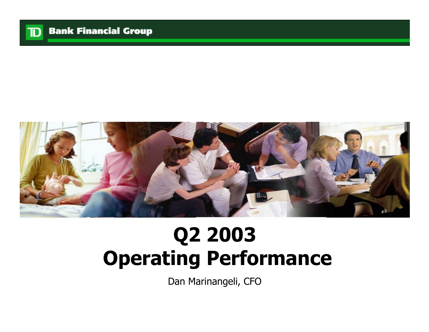



# **Q2 2003 Operating Performance**

Dan Marinangeli, CFO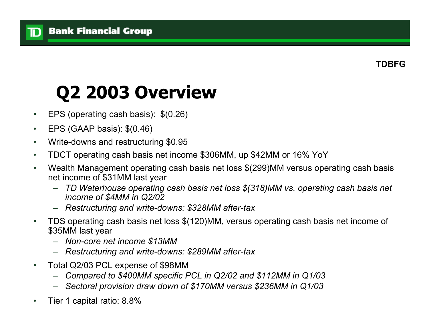#### **Bank Financial Group**

ID

## **Q2 2003 Overview**

- •EPS (operating cash basis): \$(0.26)
- •EPS (GAAP basis): \$(0.46)
- •Write-downs and restructuring \$0.95
- •TDCT operating cash basis net income \$306MM, up \$42MM or 16% YoY
- • Wealth Management operating cash basis net loss \$(299)MM versus operating cash basis net income of \$31MM last year
	- *TD Waterhouse operating cash basis net loss \$(318)MM vs. operating cash basis net income of \$4MM in Q2/02*
	- *Restructuring and write-downs: \$328MM after-tax*
- • TDS operating cash basis net loss \$(120)MM, versus operating cash basis net income of \$35MM last year
	- *Non-core net income \$13MM*
	- *Restructuring and write-downs: \$289MM after-tax*
- • Total Q2/03 PCL expense of \$98MM
	- *Compared to \$400MM specific PCL in Q2/02 and \$112MM in Q1/03*
	- *Sectoral provision draw down of \$170MM versus \$236MM in Q1/03*
- •Tier 1 capital ratio: 8.8%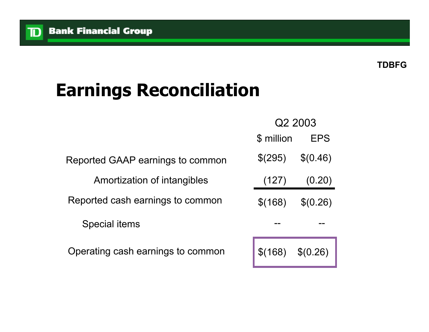$\mathbf{D}$ 

#### **TDBFG**

## **Earnings Reconciliation**

|                                   |            | Q2 2003  |
|-----------------------------------|------------|----------|
|                                   | \$ million | EPS      |
| Reported GAAP earnings to common  | \$(295)    | \$(0.46) |
| Amortization of intangibles       | (127)      | (0.20)   |
| Reported cash earnings to common  | \$(168)    | \$(0.26) |
| Special items                     |            |          |
| Operating cash earnings to common |            |          |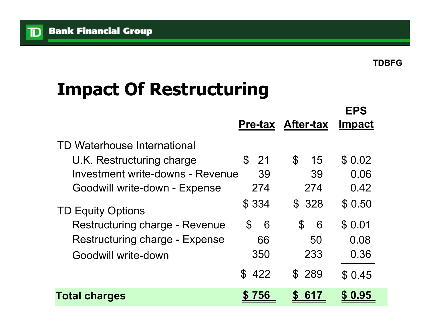**TDBFG**

## **Impact Of Restructuring**

|                                       |                      | <b>Pre-tax After-tax</b> | <b>EPS</b><br><b>Impact</b> |
|---------------------------------------|----------------------|--------------------------|-----------------------------|
| TD Waterhouse International           |                      |                          |                             |
| U.K. Restructuring charge             | -21<br>$\mathbb S$   | $\mathfrak{L}$<br>15     | \$0.02                      |
| Investment write-downs - Revenue      | 39                   | 39                       | 0.06                        |
| Goodwill write-down - Expense         | 274                  | 274                      | 0.42                        |
| <b>TD Equity Options</b>              | \$334                | \$328                    | \$0.50                      |
| <b>Restructuring charge - Revenue</b> | $\mathcal{C}$<br>6   | $\mathcal{C}$<br>6       | \$0.01                      |
| <b>Restructuring charge - Expense</b> | 66                   | 50                       | 0.08                        |
| Goodwill write-down                   | 350                  | 233                      | 0.36                        |
|                                       | $\mathcal{S}$<br>422 | \$ 289                   | \$0.45                      |
| <b>Total charges</b>                  | 756                  | 617                      | \$0.95                      |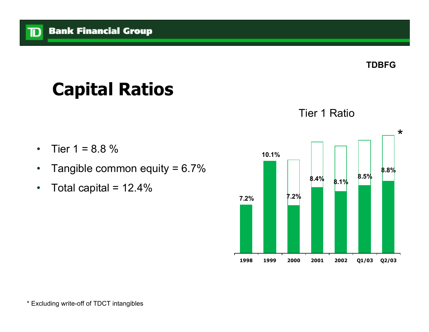**TDBFG**

## **Capital Ratios**

- •Tier  $1 = 8.8 \%$
- •Tangible common equity =  $6.7\%$
- •Total capital =  $12.4\%$

#### Tier 1 Ratio

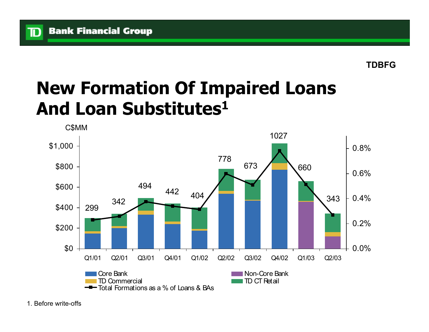ID

## **New Formation Of Impaired Loans And Loan Substitutes1**

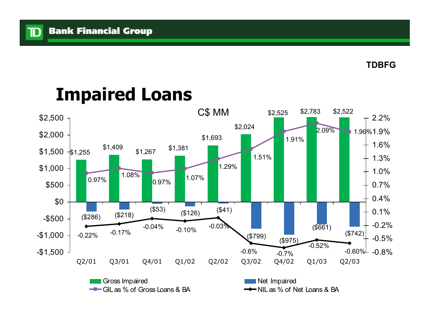${\bf \overline{D}}$ 

### **Impaired Loans**

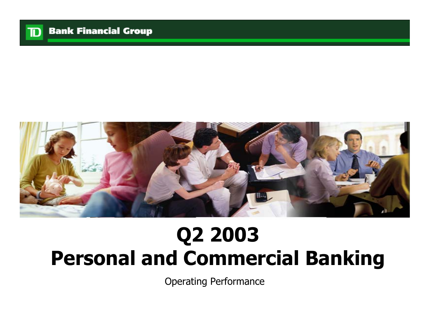



# **Q2 2003 Personal and Commercial Banking**

Operating Performance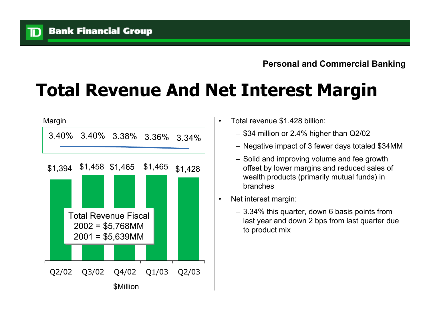ID

## **Total Revenue And Net Interest Margin**

![](_page_8_Figure_3.jpeg)

- Total revenue \$1.428 billion:
	- \$34 million or 2.4% higher than Q2/02
	- Negative impact of 3 fewer days totaled \$34MM
	- Solid and improving volume and fee growth offset by lower margins and reduced sales of wealth products (primarily mutual funds) in branches
- Net interest margin:
	- 3.34% this quarter, down 6 basis points from last year and down 2 bps from last quarter due to product mix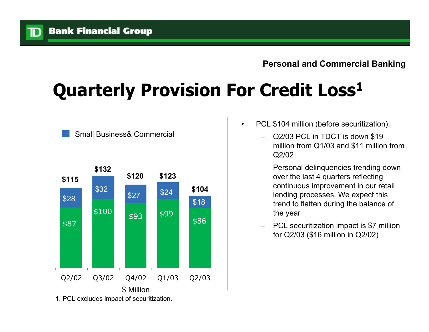# **Quarterly Provision For Credit Loss1**

![](_page_9_Figure_3.jpeg)

Small Business& Commercial

- • PCL \$104 million (before securitization):
	- Q2/03 PCL in TDCT is down \$19 million from Q1/03 and \$11 million from Q2/02
	- – Personal delinquencies trending down over the last 4 quarters reflecting continuous improvement in our retail lending processes. We expect this trend to flatten during the balance of the year
	- – PCL securitization impact is \$7 million for Q2/03 (\$16 million in Q2/02)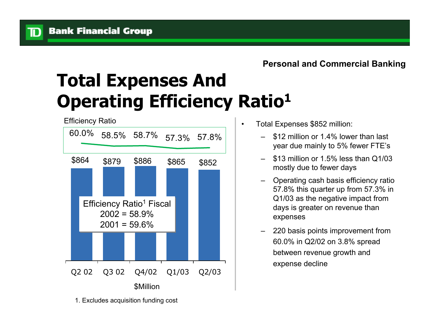## **Total Expenses And Operating Efficiency Ratio<sup>1</sup>**

![](_page_10_Figure_3.jpeg)

Total Expenses \$852 million:

•

- – \$12 million or 1.4% lower than last year due mainly to 5% fewer FTE's
- – \$13 million or 1.5% less than Q1/03 mostly due to fewer days
- – Operating cash basis efficiency ratio 57.8% this quarter up from 57.3% in Q1/03 as the negative impact from days is greater on revenue than expenses
- – 220 basis points improvement from 60.0% in Q2/02 on 3.8% spread between revenue growth and expense decline

1. Excludes acquisition funding cost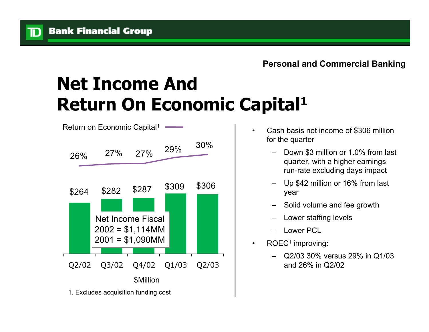ID

## **Net Income And Return On Economic Capital<sup>1</sup>**

![](_page_11_Figure_3.jpeg)

- • Cash basis net income of \$306 million for the quarter
	- Down \$3 million or 1.0% from last quarter, with a higher earnings run-rate excluding days impact
	- Up \$42 million or 16% from last year
	- Solid volume and fee growth
	- Lower staffing levels
	- Lower PCL
- •ROEC<sup>1</sup> improving:
	- Q2/03 30% versus 29% in Q1/03 and 26% in Q2/02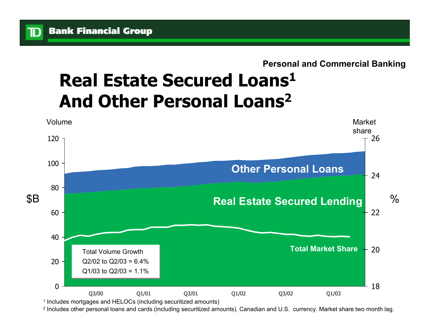ID

#### **Personal and Commercial Banking**

### **Real Estate Secured Loans1 And Other Personal Loans2**

![](_page_12_Figure_3.jpeg)

2 Includes other personal loans and cards (including securitized amounts). Canadian and U.S. currency. Market share two month lag.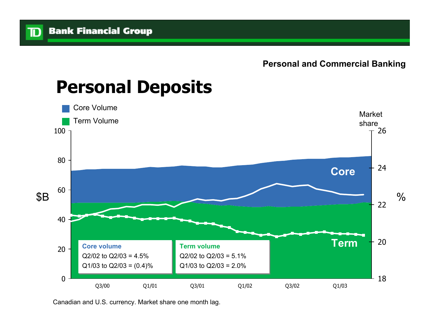![](_page_13_Figure_2.jpeg)

#### **Personal Deposits**

Canadian and U.S. currency. Market share one month lag.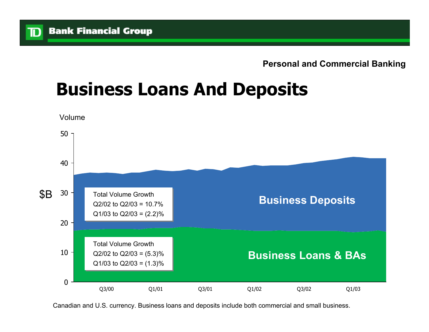#### **Personal and Commercial Banking**

## **Business Loans And Deposits**

![](_page_14_Figure_3.jpeg)

Canadian and U.S. currency. Business loans and deposits include both commercial and small business.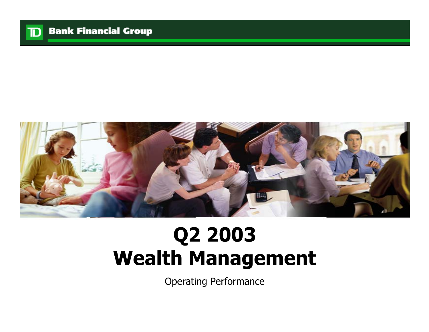![](_page_15_Picture_0.jpeg)

![](_page_15_Picture_2.jpeg)

# **Q2 2003 Wealth Management**

Operating Performance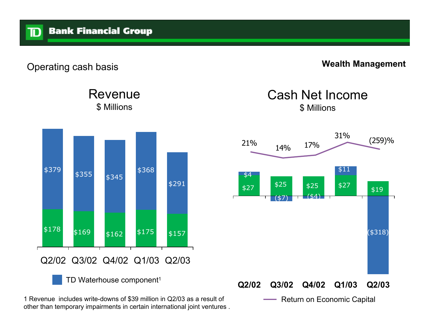#### **Wealth Management**

Revenue \$ Millions

![](_page_16_Figure_4.jpeg)

1 Revenue includes write-downs of \$39 million in Q2/03 as a result of **Neturn on Economic Capital** other than temporary impairments in certain international joint ventures .

#### Cash Net Income\$ Millions

![](_page_16_Figure_7.jpeg)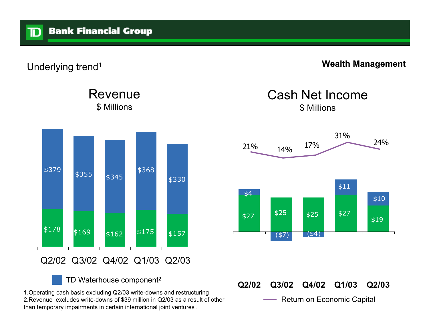Underlying trend<sup>1</sup> **Wealth Management** 

Revenue\$ Millions

![](_page_17_Figure_4.jpeg)

TD Waterhouse component2

1.Operating cash basis excluding Q2/03 write-downs and restructuring 2.Revenue excludes write-downs of \$39 million in Q2/03 as a result of other than temporary impairments in certain international joint ventures .

Cash Net Income\$ Millions

![](_page_17_Figure_8.jpeg)

**Q2/02 Q3/02 Q4/02 Q1/03 Q2/03** Return on Economic Capital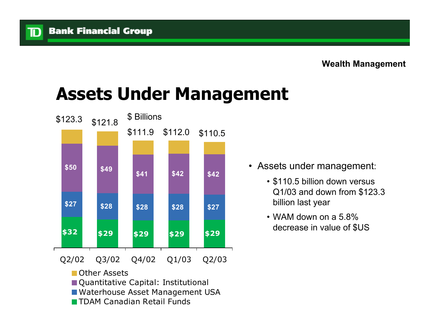TD

## **Assets Under Management**

![](_page_18_Figure_3.jpeg)

- Assets under management:
	- \$110.5 billion down versus Q1/03 and down from \$123.3 billion last year
	- WAM down on a 5.8% decrease in value of \$US

- **Other Assets**
- Quantitative Capital: Institutional
- Waterhouse Asset Management USA
- **THAM Canadian Retail Funds**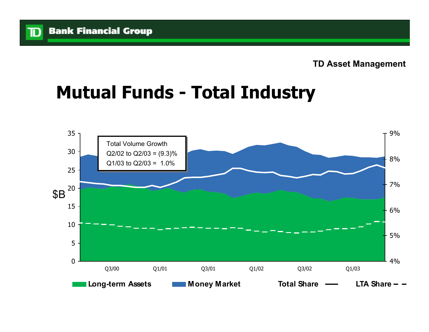## **Mutual Funds - Total Industry**

![](_page_19_Figure_3.jpeg)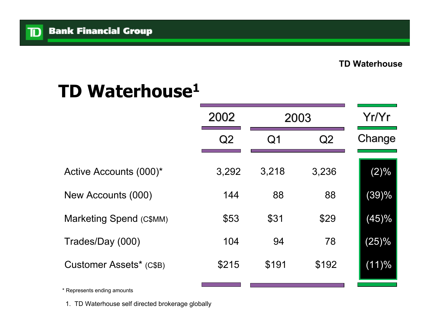$\mathbb{D}$ 

## **TD Waterhouse1**

|                                | 2002  | 2003           |       | Yr/Yr  |
|--------------------------------|-------|----------------|-------|--------|
|                                | Q2    | Q <sub>1</sub> | Q2    | Change |
| Active Accounts (000)*         | 3,292 | 3,218          | 3,236 | (2)%   |
| New Accounts (000)             | 144   | 88             | 88    | (39)%  |
| <b>Marketing Spend (C\$MM)</b> | \$53  | \$31           | \$29  | (45)%  |
| Trades/Day (000)               | 104   | 94             | 78    | (25)%  |
| Customer Assets* (C\$B)        | \$215 | \$191          | \$192 | (11)%  |
|                                |       |                |       |        |

\* Represents ending amounts

1. TD Waterhouse self directed brokerage globally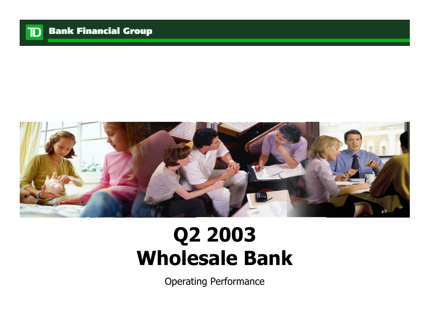![](_page_21_Picture_0.jpeg)

![](_page_21_Picture_2.jpeg)

# **Q2 2003 Wholesale Bank**

Operating Performance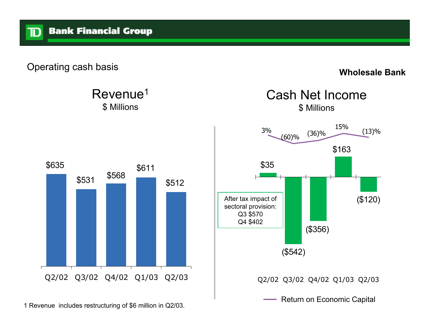![](_page_22_Figure_1.jpeg)

Revenue1 \$ Millions

**Wholesale Bank**

![](_page_22_Figure_4.jpeg)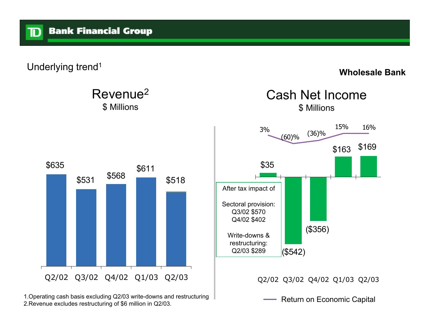Underlying trend<sup>1</sup> and the Underlying trend<sup>1</sup> and the Underlying trend<sup>1</sup> and the Underlying trend<sup>1</sup> and the Underlying trend<sup>1</sup> and the Underlying trend<sup>1</sup> and the Underlying trend 1

ID

\$169

16%

![](_page_23_Figure_3.jpeg)

1.Operating cash basis excluding Q2/03 write-downs and restructuring 2.Revenue excludes restructuring of \$6 million in Q2/03.

Return on Economic Capital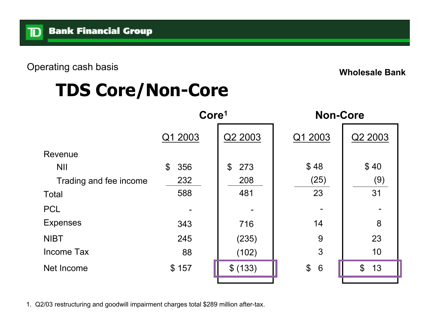Operating cash basis **Wholesale Bank**

## **TDS Core/Non-Core**

|                        | Core <sup>1</sup> |                    |                                |                      | <b>Non-Core</b> |  |
|------------------------|-------------------|--------------------|--------------------------------|----------------------|-----------------|--|
|                        | Q1 2003           | Q2 2003            | Q1 2003                        | Q2 2003              |                 |  |
| Revenue                |                   |                    |                                |                      |                 |  |
| <b>NII</b>             | 356<br>\$         | 273<br>$\mathbb S$ | \$48                           | \$40                 |                 |  |
| Trading and fee income | 232               | 208                | (25)                           | (9)                  |                 |  |
| <b>Total</b>           | 588               | 481                | 23                             | 31                   |                 |  |
| <b>PCL</b>             |                   |                    |                                |                      |                 |  |
| <b>Expenses</b>        | 343               | 716                | 14                             | 8                    |                 |  |
| <b>NIBT</b>            | 245               | (235)              | 9                              | 23                   |                 |  |
| <b>Income Tax</b>      | 88                | (102)              | 3                              | 10                   |                 |  |
| Net Income             | \$157             | \$ (133)           | $\boldsymbol{\mathsf{S}}$<br>6 | $\mathfrak{S}$<br>13 |                 |  |
|                        |                   |                    |                                |                      |                 |  |

1. Q2/03 restructuring and goodwill impairment charges total \$289 million after-tax.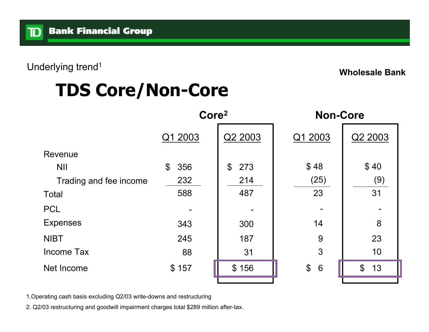Underlying trend<sup>1</sup> and the Underlying trend<sup>1</sup> and the Underlying trend<sup>1</sup> and the Underlying trend<sup>1</sup> and Underlying trend<sup>1</sup>

## **TDS Core/Non-Core**

|                        | Core <sup>2</sup>                |                                  |                                |                     | <b>Non-Core</b> |  |  |
|------------------------|----------------------------------|----------------------------------|--------------------------------|---------------------|-----------------|--|--|
|                        | Q1 2003                          | Q2 2003                          | Q1 2003                        | Q2 2003             |                 |  |  |
| Revenue                |                                  |                                  |                                |                     |                 |  |  |
| <b>NII</b>             | $\boldsymbol{\mathsf{S}}$<br>356 | 273<br>$\boldsymbol{\mathsf{S}}$ | \$48                           | \$40                |                 |  |  |
| Trading and fee income | 232                              | 214                              | (25)                           | (9)                 |                 |  |  |
| <b>Total</b>           | 588                              | 487                              | 23                             | 31                  |                 |  |  |
| <b>PCL</b>             |                                  |                                  |                                |                     |                 |  |  |
| <b>Expenses</b>        | 343                              | 300                              | 14                             | 8                   |                 |  |  |
| <b>NIBT</b>            | 245                              | 187                              | 9                              | 23                  |                 |  |  |
| <b>Income Tax</b>      | 88                               | 31                               | 3                              | 10                  |                 |  |  |
| Net Income             | \$157                            | \$156                            | $\boldsymbol{\mathsf{S}}$<br>6 | $\mathcal{L}$<br>13 |                 |  |  |
|                        |                                  |                                  |                                |                     |                 |  |  |

1.Operating cash basis excluding Q2/03 write-downs and restructuring

2. Q2/03 restructuring and goodwill impairment charges total \$289 million after-tax.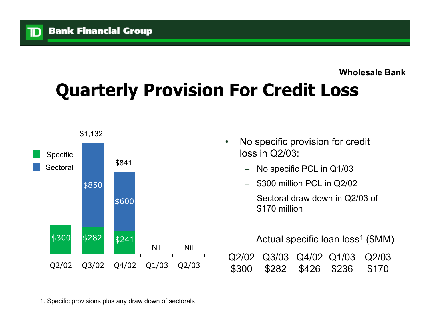${\bf D}$ 

#### **Wholesale Bank**

# **Quarterly Provision For Credit Loss**

![](_page_26_Figure_3.jpeg)

1. Specific provisions plus any draw down of sectorals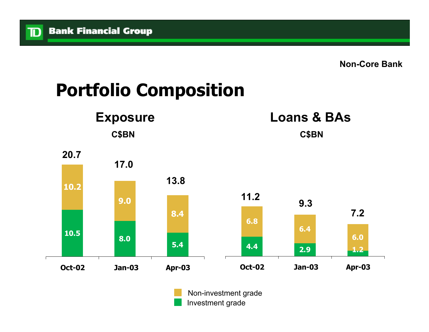**Non-Core Bank**

# **Portfolio Composition**

![](_page_27_Figure_3.jpeg)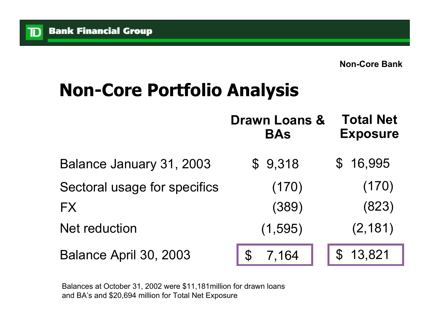D

## **Non-Core Portfolio Analysis**

|                              | <b>Drawn Loans &amp;</b><br><b>BAs</b> | <b>Total Net</b><br><b>Exposure</b> |
|------------------------------|----------------------------------------|-------------------------------------|
| Balance January 31, 2003     | \$9,318                                | \$16,995                            |
| Sectoral usage for specifics | (170)                                  | (170)                               |
| <b>FX</b>                    | (389)                                  | (823)                               |
| <b>Net reduction</b>         | (1, 595)                               | (2, 181)                            |
| Balance April 30, 2003       | 7,164                                  | 13,821                              |

Balances at October 31, 2002 were \$11,181million for drawn loans and BA's and \$20,694 million for Total Net Exposure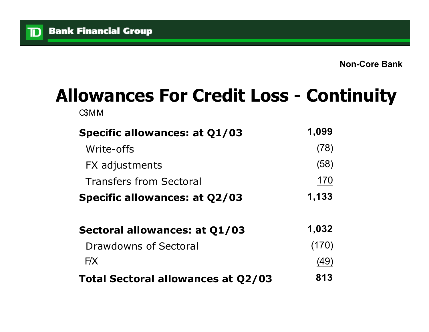$\mathbb{D}$ 

## **Allowances For Credit Loss - Continuity**

C\$MM

| <b>Specific allowances: at Q1/03</b>      | 1,099 |
|-------------------------------------------|-------|
| Write-offs                                | (78)  |
| FX adjustments                            | (58)  |
| <b>Transfers from Sectoral</b>            | 170   |
| <b>Specific allowances: at Q2/03</b>      | 1,133 |
| Sectoral allowances: at Q1/03             | 1,032 |
| Drawdowns of Sectoral                     | (170) |
| F/X                                       | (49)  |
| <b>Total Sectoral allowances at Q2/03</b> | 813   |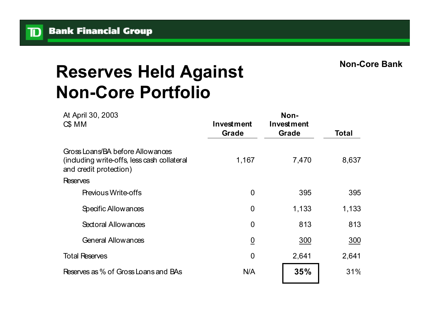TD

**Non-Core Bank**

## **Reserves Held Against Non-Core Portfolio**

| At April 30, 2003<br>$CS$ MM                                                                             | Investment<br>Grade | Non-<br>Investment<br>Grade | Total |
|----------------------------------------------------------------------------------------------------------|---------------------|-----------------------------|-------|
| Gross Loans/BA before Allowances<br>(induding write-offs, less cash collateral<br>and credit protection) | 1,167               | 7,470                       | 8,637 |
| <b>Reserves</b>                                                                                          |                     |                             |       |
| <b>Previous Write-offs</b>                                                                               | $\overline{0}$      | 395                         | 395   |
| Specific Allowances                                                                                      | $\overline{0}$      | 1,133                       | 1,133 |
| Sectoral Allowances                                                                                      | $\overline{0}$      | 813                         | 813   |
| <b>General Allowances</b>                                                                                | $\underline{0}$     | 300                         | 300   |
| <b>Total Reserves</b>                                                                                    | $\overline{0}$      | 2,641                       | 2,641 |
| Reserves as % of Gross Loans and BAs                                                                     | N/A                 | 35%                         | 31%   |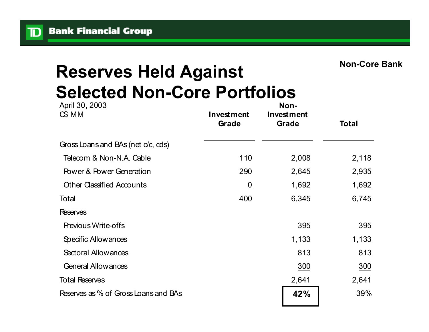TD

### **Reserves Held Against Selected Non-Core Portfolios**

| April 30, 2003<br>$CS$ MM            | Investment<br>Grade | Non-<br>Investment<br>Grade | Total |
|--------------------------------------|---------------------|-----------------------------|-------|
| Gross Loans and BAs (net c/c, cds)   |                     |                             |       |
| Telecom & Non-N.A. Cable             | 110                 | 2,008                       | 2,118 |
| <b>Power &amp; Power Generation</b>  | 290                 | 2,645                       | 2,935 |
| <b>Other Classified Accounts</b>     | $\overline{0}$      | 1,692                       | 1,692 |
| Total                                | 400                 | 6,345                       | 6,745 |
| <b>Reserves</b>                      |                     |                             |       |
| <b>Previous Write-offs</b>           |                     | 395                         | 395   |
| Specific Allowances                  |                     | 1,133                       | 1,133 |
| Sectoral Allowances                  |                     | 813                         | 813   |
| <b>General Allowances</b>            |                     | 300                         | 300   |
| <b>Total Reserves</b>                |                     | 2,641                       | 2,641 |
| Reserves as % of Gross Loans and BAs |                     | 42%                         | 39%   |
|                                      |                     |                             |       |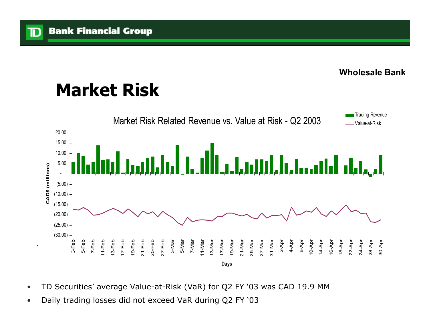$\mathbf{D}$ 

#### **Wholesale Bank**

## **Market Risk**

![](_page_32_Figure_3.jpeg)

- •TD Securities' average Value-at-Risk (VaR) for Q2 FY '03 was CAD 19.9 MM
- •Daily trading losses did not exceed VaR during Q2 FY '03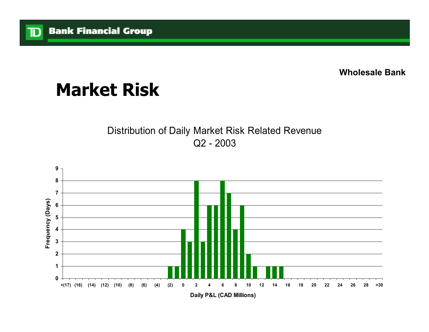**Wholesale Bank**

## **Market Risk**

#### Distribution of Daily Market Risk Related Revenue Q2 - 2003

![](_page_33_Figure_4.jpeg)

**Daily P&L (CAD Millions)**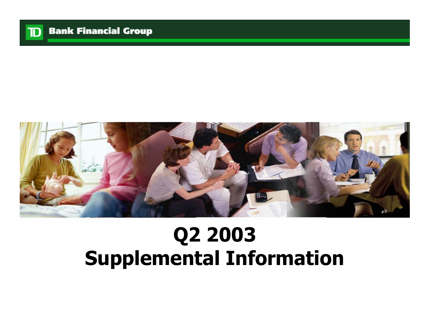![](_page_34_Picture_0.jpeg)

![](_page_34_Picture_2.jpeg)

# **Q2 2003 Supplemental Information**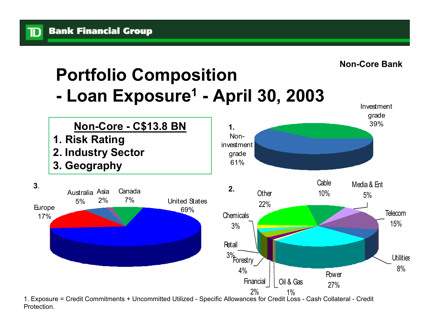ID

![](_page_35_Figure_1.jpeg)

 1. Exposure = Credit Commitments + Uncommitted Utilized - Specific Allowances for Credit Loss - Cash Collateral - Credit Protection.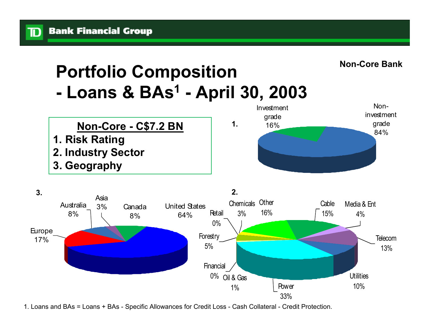![](_page_36_Figure_1.jpeg)

![](_page_36_Figure_2.jpeg)

1. Loans and BAs = Loans + BAs - Specific Allowances for Credit Loss - Cash Collateral - Credit Protection.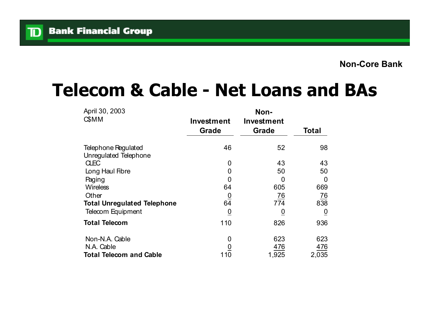### **Telecom & Cable - Net Loans and BAs**

| April 30, 2003                                      |                            | Non-                |                |
|-----------------------------------------------------|----------------------------|---------------------|----------------|
| <b>C</b> \$MM                                       | <b>Investment</b><br>Grade | Investment<br>Grade | <b>Total</b>   |
| <b>Telephone Regulated</b><br>Unregulated Telephone | 46                         | 52                  | 98             |
| <b>CLEC</b>                                         | 0                          | 43                  | 43             |
| Long Haul Fibre                                     | 0                          | 50                  | 50             |
| Paging                                              | $\mathbf 0$                | 0                   | 0              |
| <b>Wireless</b>                                     | 64                         | 605                 | 669            |
| Other                                               |                            | $\frac{76}{ }$      | $\frac{76}{1}$ |
| <b>Total Unregulated Telephone</b>                  | $\frac{0}{64}$             | 774                 | 838            |
| Telecom Equipment                                   | $\underline{0}$            | $\overline{0}$      | 0              |
| <b>Total Telecom</b>                                | 110                        | 826                 | 936            |
| Non-N.A. Cable                                      | 0                          | 623                 | 623            |
| N.A. Cable                                          |                            | 476                 | 476            |
| <b>Total Telecom and Cable</b>                      | 110                        | 1,925               | 2,035          |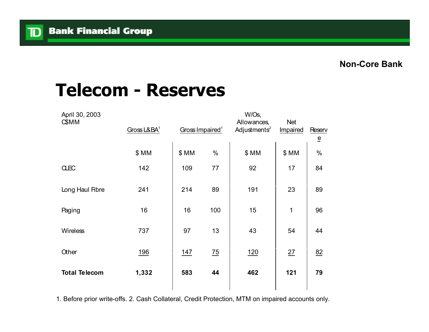#### **Telecom - Reserves**

| April 30, 2003<br><b>C\$MM</b> | Gross L&BA <sup>1</sup> | Gross Impaired <sup>1</sup> |                | W/Os,<br>Allowances,<br>Adjustments <sup>2</sup> | Net<br>Impaired | Reserv<br>$\overline{\mathsf{e}}$ |
|--------------------------------|-------------------------|-----------------------------|----------------|--------------------------------------------------|-----------------|-----------------------------------|
|                                | \$MM                    | \$MM                        | $\%$           | \$MM                                             | \$MM            | $\%$                              |
| <b>CLEC</b>                    | 142                     | 109                         | 77             | 92                                               | 17              | 84                                |
| Long Haul Fibre                | 241                     | 214                         | 89             | 191                                              | 23              | 89                                |
| Paging                         | 16                      | 16                          | 100            | 15                                               | 1               | 96                                |
| Wireless                       | 737                     | 97                          | 13             | 43                                               | 54              | 44                                |
| Other                          | <u>196</u>              | <u>147</u>                  | $\frac{75}{2}$ | 120                                              | 27              | 82                                |
| <b>Total Telecom</b>           | 1,332                   | 583                         | 44             | 462                                              | 121             | 79                                |

1. Before prior write-offs. 2. Cash Collateral, Credit Protection, MTM on impaired accounts only.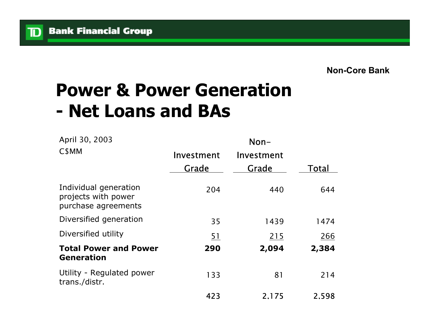${\bf D}$ 

#### **Power & Power Generation - Net Loans and BAs**

| April 30, 2003                                                      | $Non-$     |            |       |  |  |
|---------------------------------------------------------------------|------------|------------|-------|--|--|
| C <sub>\$</sub> MM                                                  | Investment | Investment |       |  |  |
|                                                                     | Grade      | Grade      | Total |  |  |
| Individual generation<br>projects with power<br>purchase agreements | 204        | 440        | 644   |  |  |
| Diversified generation                                              | 35         | 1439       | 1474  |  |  |
| Diversified utility                                                 | <u>51</u>  | 215        | 266   |  |  |
| <b>Total Power and Power</b><br><b>Generation</b>                   | 290        | 2,094      | 2,384 |  |  |
| Utility - Regulated power<br>trans./distr.                          | 133        | 81         | 214   |  |  |
|                                                                     | 423        | 2,175      | 2.598 |  |  |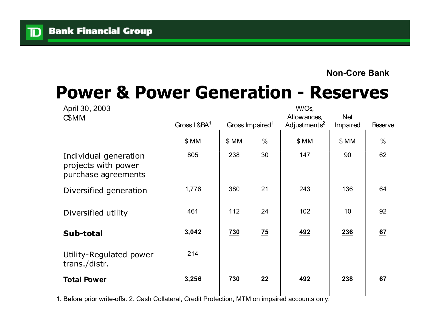TD

#### **Non-Core Bank**

#### **Power & Power Generation - Reserves**

| April 30, 2003                                                      |               |                             |                | W/Os,                                    |                 |                |  |
|---------------------------------------------------------------------|---------------|-----------------------------|----------------|------------------------------------------|-----------------|----------------|--|
| <b>CSMM</b>                                                         | Gross $L&BA1$ | Gross Impaired <sup>1</sup> |                | Allow ances,<br>Adjustments <sup>2</sup> | Net<br>Impaired | <b>Reserve</b> |  |
|                                                                     | \$ MM         | \$MM                        | $\%$           | \$MM                                     | \$MM            | $\%$           |  |
| Individual generation<br>projects with power<br>purchase agreements | 805           | 238                         | 30             | 147                                      | 90              | 62             |  |
| Diversified generation                                              | 1,776         | 380                         | 21             | 243                                      | 136             | 64             |  |
| Diversified utility                                                 | 461           | 112                         | 24             | 102                                      | 10              | 92             |  |
| Sub-total                                                           | 3,042         | 730                         | $\frac{75}{2}$ | 492                                      | 236             | 67             |  |
| Utility-Regulated power<br>trans./distr.                            | 214           |                             |                |                                          |                 |                |  |
| <b>Total Power</b>                                                  | 3,256         | 730                         | 22             | 492                                      | 238             | 67             |  |
|                                                                     |               |                             |                |                                          |                 |                |  |

1. Before prior write-offs. 2. Cash Collateral, Credit Protection, MTM on impaired accounts only.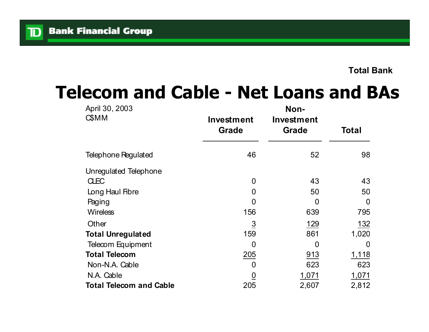### **Telecom and Cable - Net Loans and BAs**

| April 30, 2003                 | Non-                       |                                   |          |  |  |
|--------------------------------|----------------------------|-----------------------------------|----------|--|--|
| <b>C</b> \$MM                  | Investment<br><b>Grade</b> | <b>Investment</b><br><b>Grade</b> | Total    |  |  |
| Telephone Regulated            | 46                         | 52                                | 98       |  |  |
| Unregulated Telephone          |                            |                                   |          |  |  |
| <b>CLEC</b>                    | $\overline{0}$             | 43                                | 43       |  |  |
| Long Haul Fibre                | 0                          | 50                                | 50       |  |  |
| Paging                         | $\overline{0}$             | 0                                 | $\Omega$ |  |  |
| <b>Wireless</b>                | 156                        | 639                               | 795      |  |  |
| Other                          | $\overline{3}$             | 129                               | 132      |  |  |
| <b>Total Unregulated</b>       | 159                        | 861                               | 1,020    |  |  |
| Telecom Equipment              | $\overline{0}$             | $\Omega$                          | 0        |  |  |
| <b>Total Telecom</b>           | 205                        | 913                               | 1,118    |  |  |
| Non-N.A. Cable                 | 0                          | 623                               | 623      |  |  |
| N.A. Cable                     | $\underline{0}$            | 1,071                             | 1,071    |  |  |
| <b>Total Telecom and Cable</b> | 205                        | 2,607                             | 2,812    |  |  |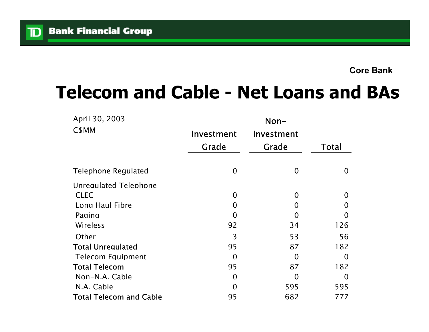$\mathbf{D}$ 

## **Telecom and Cable - Net Loans and BAs**

| April 30, 2003                 | Non-           |            |              |  |
|--------------------------------|----------------|------------|--------------|--|
| C\$MM                          | Investment     | Investment |              |  |
|                                | Grade          | Grade      | <b>Total</b> |  |
| <b>Telephone Regulated</b>     | $\overline{0}$ | 0          | $\Omega$     |  |
| <b>Unregulated Telephone</b>   |                |            |              |  |
| <b>CLEC</b>                    | $\Omega$       | O          | $\Omega$     |  |
| Long Haul Fibre                | 0              | 0          | O            |  |
| Paging                         | O              | 0          | O            |  |
| Wireless                       | 92             | 34         | 126          |  |
| Other                          | 3              | 53         | 56           |  |
| <b>Total Unregulated</b>       | 95             | 87         | 182          |  |
| <b>Telecom Equipment</b>       | $\Omega$       | O          | 0            |  |
| <b>Total Telecom</b>           | 95             | 87         | 182          |  |
| Non-N.A. Cable                 | O              | O          | O            |  |
| N.A. Cable                     | O              | 595        | 595          |  |
| <b>Total Telecom and Cable</b> | 95             | 682        | 777          |  |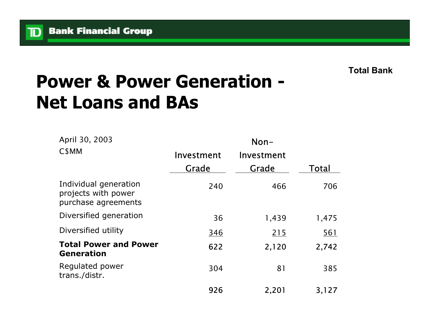${\bf D}$ 

**Total Bank**

## **Power & Power Generation - Net Loans and BAs**

| April 30, 2003                                                      | $Non-$     |            |            |  |
|---------------------------------------------------------------------|------------|------------|------------|--|
| C <sub>\$</sub> MM                                                  | Investment | Investment |            |  |
|                                                                     | Grade      | Grade      | Total      |  |
| Individual generation<br>projects with power<br>purchase agreements | 240        | 466        | 706        |  |
| Diversified generation                                              | 36         | 1,439      | 1,475      |  |
| Diversified utility                                                 | <u>346</u> | 215        | <u>561</u> |  |
| <b>Total Power and Power</b><br><b>Generation</b>                   | 622        | 2,120      | 2,742      |  |
| Regulated power<br>trans./distr.                                    | 304        | 81         | 385        |  |
|                                                                     | 926        | 2,201      | 3,127      |  |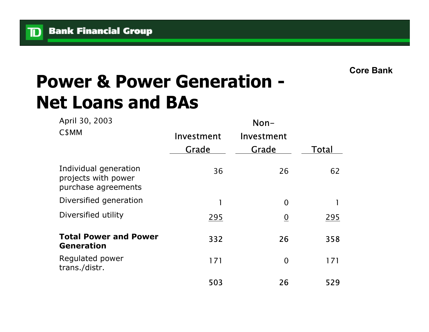$\mathbf{D}$ 

**Core Bank**

## **Power & Power Generation - Net Loans and BAs**

| April 30, 2003<br>C <sub>\$</sub> MM                                | $Non-$     |                 |       |  |  |
|---------------------------------------------------------------------|------------|-----------------|-------|--|--|
|                                                                     | Investment | Investment      |       |  |  |
|                                                                     | Grade      | Grade           | Total |  |  |
| Individual generation<br>projects with power<br>purchase agreements | 36         | 26              | 62    |  |  |
| Diversified generation                                              | 1          | $\overline{0}$  |       |  |  |
| Diversified utility                                                 | 295        | $\underline{0}$ | 295   |  |  |
| <b>Total Power and Power</b><br><b>Generation</b>                   | 332        | 26              | 358   |  |  |
| Regulated power<br>trans./distr.                                    | 171        | $\overline{0}$  | 171   |  |  |
|                                                                     | 503        | 26              | 529   |  |  |